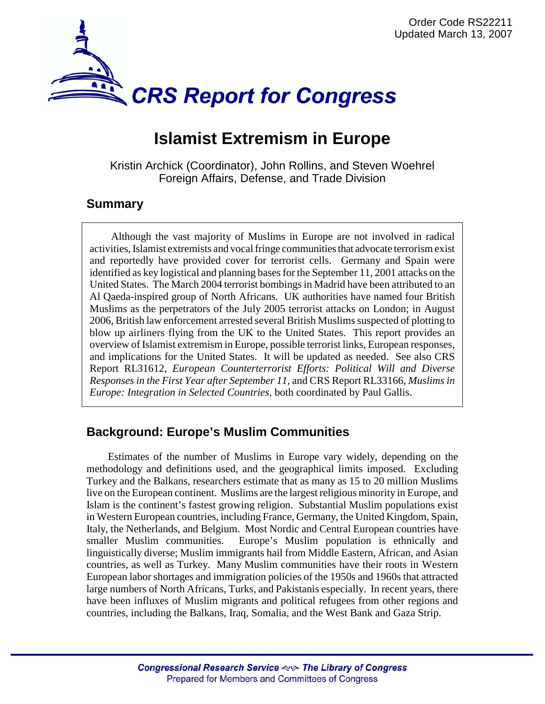

# **Islamist Extremism in Europe**

Kristin Archick (Coordinator), John Rollins, and Steven Woehrel Foreign Affairs, Defense, and Trade Division

## **Summary**

Although the vast majority of Muslims in Europe are not involved in radical activities, Islamist extremists and vocal fringe communities that advocate terrorism exist and reportedly have provided cover for terrorist cells. Germany and Spain were identified as key logistical and planning bases for the September 11, 2001 attacks on the United States. The March 2004 terrorist bombings in Madrid have been attributed to an Al Qaeda-inspired group of North Africans. UK authorities have named four British Muslims as the perpetrators of the July 2005 terrorist attacks on London; in August 2006, British law enforcement arrested several British Muslims suspected of plotting to blow up airliners flying from the UK to the United States. This report provides an overview of Islamist extremism in Europe, possible terrorist links, European responses, and implications for the United States. It will be updated as needed. See also CRS Report RL31612, *European Counterterrorist Efforts: Political Will and Diverse Responses in the First Year after September 11,* and CRS Report RL33166, *Muslims in Europe: Integration in Selected Countries*, both coordinated by Paul Gallis.

## **Background: Europe's Muslim Communities**

Estimates of the number of Muslims in Europe vary widely, depending on the methodology and definitions used, and the geographical limits imposed. Excluding Turkey and the Balkans, researchers estimate that as many as 15 to 20 million Muslims live on the European continent. Muslims are the largest religious minority in Europe, and Islam is the continent's fastest growing religion. Substantial Muslim populations exist in Western European countries, including France, Germany, the United Kingdom, Spain, Italy, the Netherlands, and Belgium. Most Nordic and Central European countries have smaller Muslim communities. Europe's Muslim population is ethnically and linguistically diverse; Muslim immigrants hail from Middle Eastern, African, and Asian countries, as well as Turkey. Many Muslim communities have their roots in Western European labor shortages and immigration policies of the 1950s and 1960s that attracted large numbers of North Africans, Turks, and Pakistanis especially. In recent years, there have been influxes of Muslim migrants and political refugees from other regions and countries, including the Balkans, Iraq, Somalia, and the West Bank and Gaza Strip.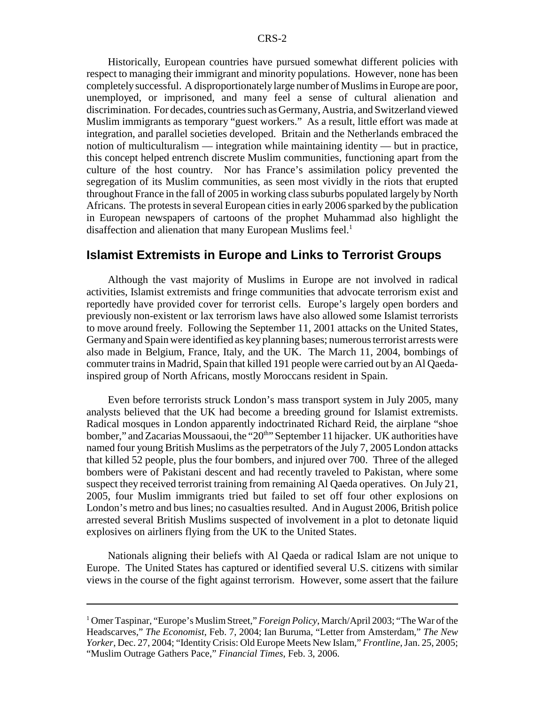Historically, European countries have pursued somewhat different policies with respect to managing their immigrant and minority populations. However, none has been completely successful. A disproportionately large number of Muslims in Europe are poor, unemployed, or imprisoned, and many feel a sense of cultural alienation and discrimination. For decades, countries such as Germany, Austria, and Switzerland viewed Muslim immigrants as temporary "guest workers." As a result, little effort was made at integration, and parallel societies developed. Britain and the Netherlands embraced the notion of multiculturalism — integration while maintaining identity — but in practice, this concept helped entrench discrete Muslim communities, functioning apart from the culture of the host country. Nor has France's assimilation policy prevented the segregation of its Muslim communities, as seen most vividly in the riots that erupted throughout France in the fall of 2005 in working class suburbs populated largely by North Africans. The protests in several European cities in early 2006 sparked by the publication in European newspapers of cartoons of the prophet Muhammad also highlight the disaffection and alienation that many European Muslims feel.<sup>1</sup>

#### **Islamist Extremists in Europe and Links to Terrorist Groups**

Although the vast majority of Muslims in Europe are not involved in radical activities, Islamist extremists and fringe communities that advocate terrorism exist and reportedly have provided cover for terrorist cells. Europe's largely open borders and previously non-existent or lax terrorism laws have also allowed some Islamist terrorists to move around freely. Following the September 11, 2001 attacks on the United States, Germany and Spain were identified as key planning bases; numerous terrorist arrests were also made in Belgium, France, Italy, and the UK. The March 11, 2004, bombings of commuter trains in Madrid, Spain that killed 191 people were carried out by an Al Qaedainspired group of North Africans, mostly Moroccans resident in Spain.

Even before terrorists struck London's mass transport system in July 2005, many analysts believed that the UK had become a breeding ground for Islamist extremists. Radical mosques in London apparently indoctrinated Richard Reid, the airplane "shoe bomber," and Zacarias Moussaoui, the "20<sup>th</sup>" September 11 hijacker. UK authorities have named four young British Muslims as the perpetrators of the July 7, 2005 London attacks that killed 52 people, plus the four bombers, and injured over 700. Three of the alleged bombers were of Pakistani descent and had recently traveled to Pakistan, where some suspect they received terrorist training from remaining Al Qaeda operatives. On July 21, 2005, four Muslim immigrants tried but failed to set off four other explosions on London's metro and bus lines; no casualties resulted. And in August 2006, British police arrested several British Muslims suspected of involvement in a plot to detonate liquid explosives on airliners flying from the UK to the United States.

Nationals aligning their beliefs with Al Qaeda or radical Islam are not unique to Europe. The United States has captured or identified several U.S. citizens with similar views in the course of the fight against terrorism. However, some assert that the failure

<sup>&</sup>lt;sup>1</sup> Omer Taspinar, "Europe's Muslim Street," *Foreign Policy*, March/April 2003; "The War of the Headscarves," *The Economist*, Feb. 7, 2004; Ian Buruma, "Letter from Amsterdam," *The New Yorker*, Dec. 27, 2004; "Identity Crisis: Old Europe Meets New Islam," *Frontline*, Jan. 25, 2005; "Muslim Outrage Gathers Pace," *Financial Times*, Feb. 3, 2006.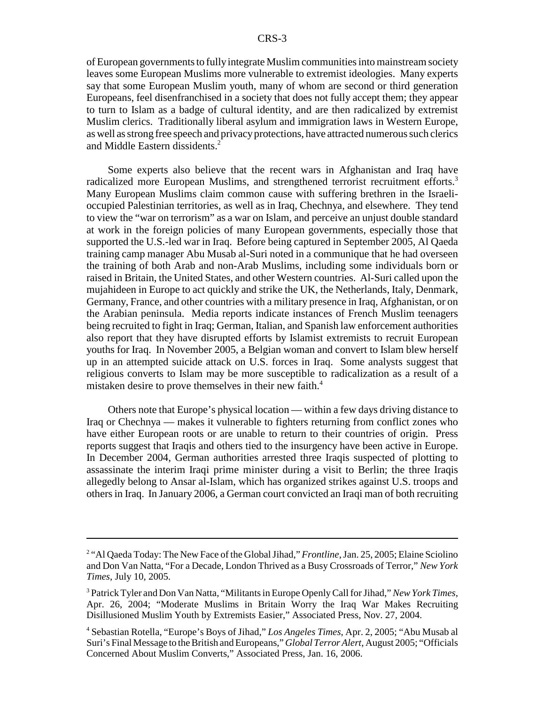of European governments to fully integrate Muslim communities into mainstream society leaves some European Muslims more vulnerable to extremist ideologies. Many experts say that some European Muslim youth, many of whom are second or third generation Europeans, feel disenfranchised in a society that does not fully accept them; they appear to turn to Islam as a badge of cultural identity, and are then radicalized by extremist Muslim clerics. Traditionally liberal asylum and immigration laws in Western Europe, as well as strong free speech and privacy protections, have attracted numerous such clerics and Middle Eastern dissidents.<sup>2</sup>

Some experts also believe that the recent wars in Afghanistan and Iraq have radicalized more European Muslims, and strengthened terrorist recruitment efforts.<sup>3</sup> Many European Muslims claim common cause with suffering brethren in the Israelioccupied Palestinian territories, as well as in Iraq, Chechnya, and elsewhere. They tend to view the "war on terrorism" as a war on Islam, and perceive an unjust double standard at work in the foreign policies of many European governments, especially those that supported the U.S.-led war in Iraq. Before being captured in September 2005, Al Qaeda training camp manager Abu Musab al-Suri noted in a communique that he had overseen the training of both Arab and non-Arab Muslims, including some individuals born or raised in Britain, the United States, and other Western countries. Al-Suri called upon the mujahideen in Europe to act quickly and strike the UK, the Netherlands, Italy, Denmark, Germany, France, and other countries with a military presence in Iraq, Afghanistan, or on the Arabian peninsula. Media reports indicate instances of French Muslim teenagers being recruited to fight in Iraq; German, Italian, and Spanish law enforcement authorities also report that they have disrupted efforts by Islamist extremists to recruit European youths for Iraq. In November 2005, a Belgian woman and convert to Islam blew herself up in an attempted suicide attack on U.S. forces in Iraq. Some analysts suggest that religious converts to Islam may be more susceptible to radicalization as a result of a mistaken desire to prove themselves in their new faith.4

Others note that Europe's physical location — within a few days driving distance to Iraq or Chechnya — makes it vulnerable to fighters returning from conflict zones who have either European roots or are unable to return to their countries of origin. Press reports suggest that Iraqis and others tied to the insurgency have been active in Europe. In December 2004, German authorities arrested three Iraqis suspected of plotting to assassinate the interim Iraqi prime minister during a visit to Berlin; the three Iraqis allegedly belong to Ansar al-Islam, which has organized strikes against U.S. troops and others in Iraq. In January 2006, a German court convicted an Iraqi man of both recruiting

<sup>&</sup>lt;sup>2</sup> "Al Qaeda Today: The New Face of the Global Jihad," *Frontline*, Jan. 25, 2005; Elaine Sciolino and Don Van Natta, "For a Decade, London Thrived as a Busy Crossroads of Terror," *New York Times*, July 10, 2005.

<sup>3</sup> Patrick Tyler and Don Van Natta, "Militants in Europe Openly Call for Jihad," *New York Times*, Apr. 26, 2004; "Moderate Muslims in Britain Worry the Iraq War Makes Recruiting Disillusioned Muslim Youth by Extremists Easier," Associated Press, Nov. 27, 2004.

<sup>4</sup> Sebastian Rotella, "Europe's Boys of Jihad," *Los Angeles Times*, Apr. 2, 2005; "Abu Musab al Suri's Final Message to the British and Europeans," *Global Terror Alert*, August 2005; "Officials Concerned About Muslim Converts," Associated Press, Jan. 16, 2006.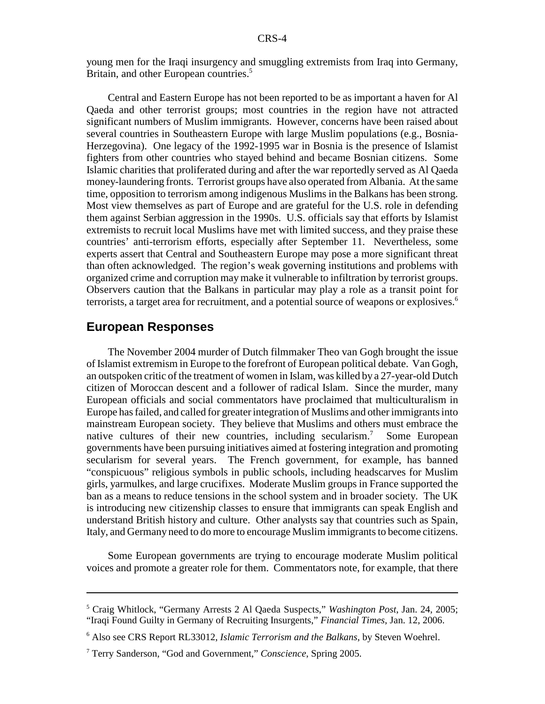young men for the Iraqi insurgency and smuggling extremists from Iraq into Germany, Britain, and other European countries.<sup>5</sup>

Central and Eastern Europe has not been reported to be as important a haven for Al Qaeda and other terrorist groups; most countries in the region have not attracted significant numbers of Muslim immigrants. However, concerns have been raised about several countries in Southeastern Europe with large Muslim populations (e.g., Bosnia-Herzegovina). One legacy of the 1992-1995 war in Bosnia is the presence of Islamist fighters from other countries who stayed behind and became Bosnian citizens. Some Islamic charities that proliferated during and after the war reportedly served as Al Qaeda money-laundering fronts. Terrorist groups have also operated from Albania. At the same time, opposition to terrorism among indigenous Muslims in the Balkans has been strong. Most view themselves as part of Europe and are grateful for the U.S. role in defending them against Serbian aggression in the 1990s. U.S. officials say that efforts by Islamist extremists to recruit local Muslims have met with limited success, and they praise these countries' anti-terrorism efforts, especially after September 11. Nevertheless, some experts assert that Central and Southeastern Europe may pose a more significant threat than often acknowledged. The region's weak governing institutions and problems with organized crime and corruption may make it vulnerable to infiltration by terrorist groups. Observers caution that the Balkans in particular may play a role as a transit point for terrorists, a target area for recruitment, and a potential source of weapons or explosives.6

### **European Responses**

The November 2004 murder of Dutch filmmaker Theo van Gogh brought the issue of Islamist extremism in Europe to the forefront of European political debate. Van Gogh, an outspoken critic of the treatment of women in Islam, was killed by a 27-year-old Dutch citizen of Moroccan descent and a follower of radical Islam. Since the murder, many European officials and social commentators have proclaimed that multiculturalism in Europe has failed, and called for greater integration of Muslims and other immigrants into mainstream European society. They believe that Muslims and others must embrace the native cultures of their new countries, including secularism.<sup>7</sup> Some European governments have been pursuing initiatives aimed at fostering integration and promoting secularism for several years. The French government, for example, has banned "conspicuous" religious symbols in public schools, including headscarves for Muslim girls, yarmulkes, and large crucifixes. Moderate Muslim groups in France supported the ban as a means to reduce tensions in the school system and in broader society. The UK is introducing new citizenship classes to ensure that immigrants can speak English and understand British history and culture. Other analysts say that countries such as Spain, Italy, and Germany need to do more to encourage Muslim immigrants to become citizens.

Some European governments are trying to encourage moderate Muslim political voices and promote a greater role for them. Commentators note, for example, that there

<sup>5</sup> Craig Whitlock, "Germany Arrests 2 Al Qaeda Suspects," *Washington Post*, Jan. 24, 2005; "Iraqi Found Guilty in Germany of Recruiting Insurgents," *Financial Times*, Jan. 12, 2006.

<sup>6</sup> Also see CRS Report RL33012, *Islamic Terrorism and the Balkans*, by Steven Woehrel.

<sup>7</sup> Terry Sanderson, "God and Government," *Conscience*, Spring 2005.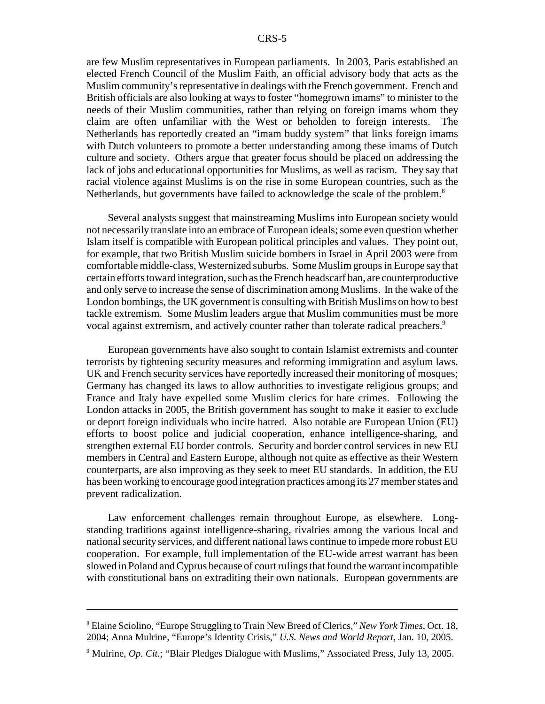are few Muslim representatives in European parliaments. In 2003, Paris established an elected French Council of the Muslim Faith, an official advisory body that acts as the Muslim community's representative in dealings with the French government. French and British officials are also looking at ways to foster "homegrown imams" to minister to the needs of their Muslim communities, rather than relying on foreign imams whom they claim are often unfamiliar with the West or beholden to foreign interests. The Netherlands has reportedly created an "imam buddy system" that links foreign imams with Dutch volunteers to promote a better understanding among these imams of Dutch culture and society. Others argue that greater focus should be placed on addressing the lack of jobs and educational opportunities for Muslims, as well as racism. They say that racial violence against Muslims is on the rise in some European countries, such as the Netherlands, but governments have failed to acknowledge the scale of the problem.<sup>8</sup>

Several analysts suggest that mainstreaming Muslims into European society would not necessarily translate into an embrace of European ideals; some even question whether Islam itself is compatible with European political principles and values. They point out, for example, that two British Muslim suicide bombers in Israel in April 2003 were from comfortable middle-class, Westernized suburbs. Some Muslim groups in Europe say that certain efforts toward integration, such as the French headscarf ban, are counterproductive and only serve to increase the sense of discrimination among Muslims. In the wake of the London bombings, the UK government is consulting with British Muslims on how to best tackle extremism. Some Muslim leaders argue that Muslim communities must be more vocal against extremism, and actively counter rather than tolerate radical preachers.<sup>9</sup>

European governments have also sought to contain Islamist extremists and counter terrorists by tightening security measures and reforming immigration and asylum laws. UK and French security services have reportedly increased their monitoring of mosques; Germany has changed its laws to allow authorities to investigate religious groups; and France and Italy have expelled some Muslim clerics for hate crimes. Following the London attacks in 2005, the British government has sought to make it easier to exclude or deport foreign individuals who incite hatred. Also notable are European Union (EU) efforts to boost police and judicial cooperation, enhance intelligence-sharing, and strengthen external EU border controls. Security and border control services in new EU members in Central and Eastern Europe, although not quite as effective as their Western counterparts, are also improving as they seek to meet EU standards. In addition, the EU has been working to encourage good integration practices among its 27 member states and prevent radicalization.

Law enforcement challenges remain throughout Europe, as elsewhere. Longstanding traditions against intelligence-sharing, rivalries among the various local and national security services, and different national laws continue to impede more robust EU cooperation. For example, full implementation of the EU-wide arrest warrant has been slowed in Poland and Cyprus because of court rulings that found the warrant incompatible with constitutional bans on extraditing their own nationals. European governments are

<sup>8</sup> Elaine Sciolino, "Europe Struggling to Train New Breed of Clerics," *New York Times*, Oct. 18, 2004; Anna Mulrine, "Europe's Identity Crisis," *U.S. News and World Report*, Jan. 10, 2005.

<sup>&</sup>lt;sup>9</sup> Mulrine, *Op. Cit.*; "Blair Pledges Dialogue with Muslims," Associated Press, July 13, 2005.